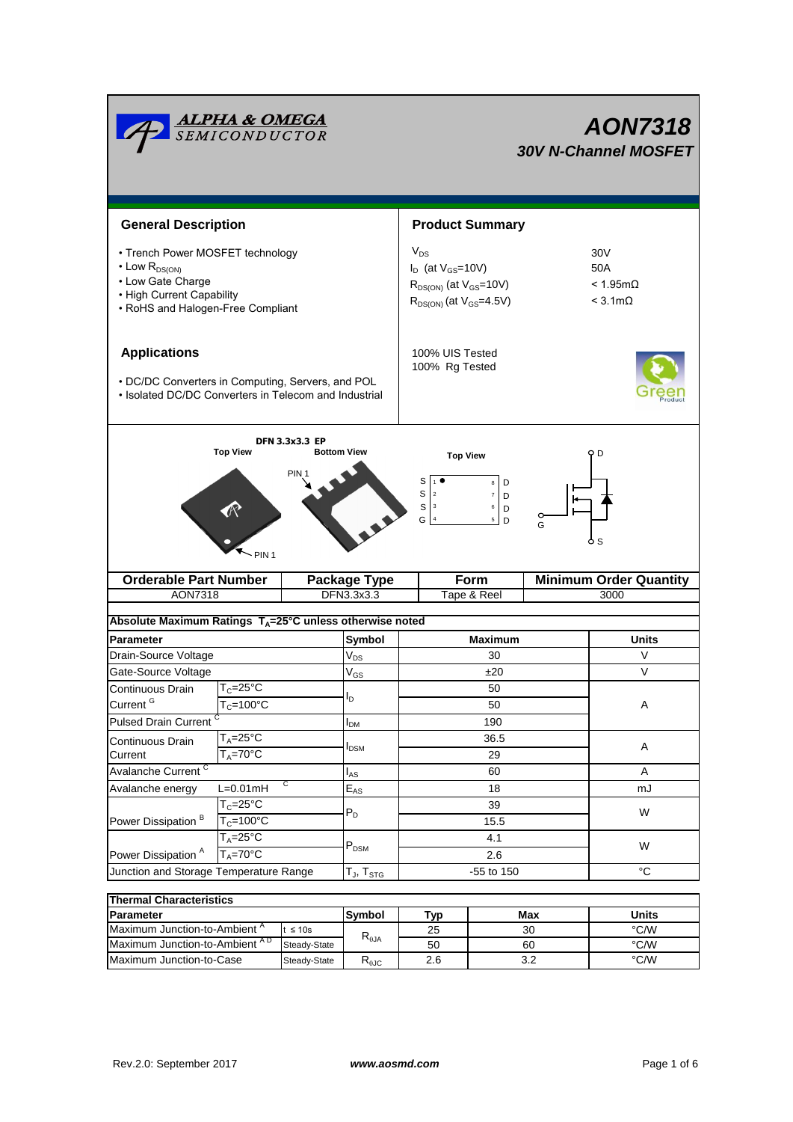|                                                                                                                                                     | <u><b>ALPHA &amp; OMEGA</b><br/>SEMICONDUCTOR</u> |                   |                                                                                                 |                                                                        |                                                                                                     |              | <b>AON7318</b><br><b>30V N-Channel MOSFET</b> |  |
|-----------------------------------------------------------------------------------------------------------------------------------------------------|---------------------------------------------------|-------------------|-------------------------------------------------------------------------------------------------|------------------------------------------------------------------------|-----------------------------------------------------------------------------------------------------|--------------|-----------------------------------------------|--|
| <b>General Description</b>                                                                                                                          |                                                   |                   |                                                                                                 |                                                                        | <b>Product Summary</b>                                                                              |              |                                               |  |
| • Trench Power MOSFET technology<br>$\cdot$ Low $R_{DS(ON)}$<br>• Low Gate Charge<br>• High Current Capability<br>• RoHS and Halogen-Free Compliant |                                                   | $\rm V_{DS}$      | $I_D$ (at $V_{GS}$ =10V)<br>$R_{DS(ON)}$ (at $V_{GS}$ =10V)<br>$R_{DS(ON)}$ (at $V_{GS}$ =4.5V) | 30 <sub>V</sub><br>50A<br>$< 1.95 \text{m}\Omega$<br>$<$ 3.1m $\Omega$ |                                                                                                     |              |                                               |  |
| <b>Applications</b><br>• DC/DC Converters in Computing, Servers, and POL<br>• Isolated DC/DC Converters in Telecom and Industrial                   |                                                   |                   |                                                                                                 | 100% UIS Tested<br>100% Rg Tested                                      |                                                                                                     |              |                                               |  |
| <b>DFN 3.3x3.3 EP</b><br><b>Top View</b><br><b>Bottom View</b><br>PIN<br>PIN <sub>1</sub>                                                           |                                                   |                   |                                                                                                 | S<br>S<br>$\mathbf{2}$<br>$\vert$ 3<br>S<br>$\sqrt{4}$<br>G            | <b>Top View</b><br>D<br>8<br>$\overline{\mathbf{7}}$<br>D<br>6<br>D<br>$\overline{\mathbf{5}}$<br>D | G            | o d<br><sub>S</sub>                           |  |
|                                                                                                                                                     | <b>Orderable Part Number</b>                      |                   | <b>Package Type</b>                                                                             | Form                                                                   |                                                                                                     |              | <b>Minimum Order Quantity</b>                 |  |
| AON7318                                                                                                                                             |                                                   |                   | DFN3.3x3.3                                                                                      | Tape & Reel                                                            |                                                                                                     | 3000         |                                               |  |
| Absolute Maximum Ratings T <sub>A</sub> =25°C unless otherwise noted                                                                                |                                                   |                   |                                                                                                 |                                                                        |                                                                                                     |              |                                               |  |
| <b>Parameter</b>                                                                                                                                    |                                                   |                   | Symbol                                                                                          |                                                                        | <b>Maximum</b>                                                                                      | <b>Units</b> |                                               |  |
| Drain-Source Voltage                                                                                                                                |                                                   |                   | $V_{DS}$                                                                                        | 30                                                                     |                                                                                                     | $\vee$       |                                               |  |
| Gate-Source Voltage                                                                                                                                 |                                                   |                   | $\ensuremath{\mathsf{V}}_{\mathsf{GS}}$                                                         | ±20                                                                    |                                                                                                     | $\vee$       |                                               |  |
| Continuous Drain                                                                                                                                    | $T_c = 25$ °C                                     |                   |                                                                                                 | 50<br>50                                                               |                                                                                                     |              |                                               |  |
| Current <sup>G</sup>                                                                                                                                | $T_c = 100^{\circ}C$                              |                   | lD.                                                                                             |                                                                        |                                                                                                     |              | A                                             |  |
| <b>Pulsed Drain Current</b>                                                                                                                         |                                                   |                   | I <sub>DM</sub>                                                                                 | 190                                                                    |                                                                                                     |              |                                               |  |
| Continuous Drain                                                                                                                                    | $T_A = 25$ °C                                     |                   | I <sub>DSM</sub>                                                                                | 36.5<br>29                                                             |                                                                                                     |              | A                                             |  |
| $T_A = 70$ °C<br>Current                                                                                                                            |                                                   |                   |                                                                                                 |                                                                        |                                                                                                     |              |                                               |  |
| Avalanche Current <sup>C</sup>                                                                                                                      |                                                   | $I_{AS}$          | 60                                                                                              |                                                                        | Α                                                                                                   |              |                                               |  |
| Avalanche energy                                                                                                                                    | С<br>$L=0.01mH$                                   |                   | $E_{AS}$                                                                                        | 18                                                                     |                                                                                                     |              | mJ                                            |  |
| Power Dissipation <sup>B</sup>                                                                                                                      | $T_c = 25$ °C                                     | $P_D$             |                                                                                                 | 39                                                                     |                                                                                                     |              | W                                             |  |
|                                                                                                                                                     | $T_c = 100^{\circ}$ C<br>$T_A = 25^{\circ}C$      |                   |                                                                                                 | 15.5<br>4.1                                                            |                                                                                                     |              |                                               |  |
| Power Dissipation <sup>A</sup>                                                                                                                      | $T_A = 70^\circ C$                                |                   | $\mathsf{P}_\mathsf{DSM}$                                                                       | 2.6                                                                    |                                                                                                     |              | W                                             |  |
| Junction and Storage Temperature Range                                                                                                              |                                                   | $T_J$ , $T_{STG}$ | -55 to 150                                                                                      |                                                                        |                                                                                                     | $^{\circ}C$  |                                               |  |
|                                                                                                                                                     |                                                   |                   |                                                                                                 |                                                                        |                                                                                                     |              |                                               |  |
| <b>Thermal Characteristics</b>                                                                                                                      |                                                   |                   |                                                                                                 |                                                                        |                                                                                                     |              |                                               |  |
|                                                                                                                                                     |                                                   |                   | $\sim$                                                                                          |                                                                        |                                                                                                     |              |                                               |  |

| <b>IThermal Characteristics</b>          |              |                                   |     |       |      |  |  |  |
|------------------------------------------|--------------|-----------------------------------|-----|-------|------|--|--|--|
| <b>Parameter</b>                         | lSvmbol      | ™vn                               | Max | Units |      |  |  |  |
| Maximum Junction-to-Ambient <sup>"</sup> | $t \leq 10s$ | $\mathsf{R}_{\theta \mathsf{JA}}$ | 25  | 30    | °C/W |  |  |  |
| Maximum Junction-to-Ambient AD           | Steady-State |                                   | 50  | 60    | °C/W |  |  |  |
| Maximum Junction-to-Case                 | Steady-State | D<br><b>NAJC</b>                  | 2.6 | າ າ   | °C/W |  |  |  |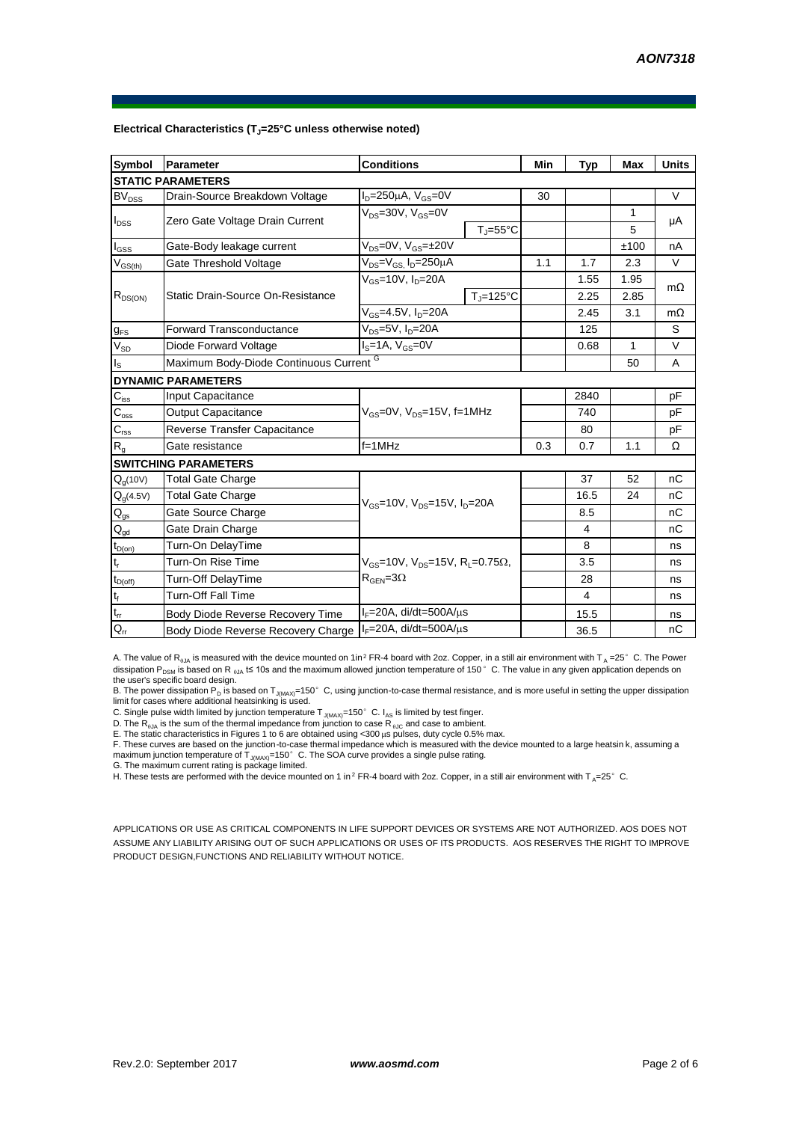| <b>Symbol</b>                          | Parameter                          | <b>Conditions</b>                                             | Min | <b>Typ</b>     | Max  | <b>Units</b> |
|----------------------------------------|------------------------------------|---------------------------------------------------------------|-----|----------------|------|--------------|
|                                        | <b>STATIC PARAMETERS</b>           |                                                               |     |                |      |              |
| BV <sub>DSS</sub>                      | Drain-Source Breakdown Voltage     | $I_D = 250 \mu A$ , $V_{GS} = 0V$                             | 30  |                |      | $\vee$       |
| $I_{\text{DSS}}$                       | Zero Gate Voltage Drain Current    | $V_{DS} = 30V$ , $V_{GS} = 0V$                                |     |                | 1    | μA           |
|                                        |                                    | $T_{\parallel} = 55^{\circ}$ C                                |     |                | 5    |              |
| $I_{GSS}$                              | Gate-Body leakage current          | $V_{DS} = 0V$ , $V_{GS} = \pm 20V$                            |     |                | ±100 | nA           |
| $V_{GS(th)}$                           | Gate Threshold Voltage             | $V_{DS} = V_{GS}$ , $I_D = 250 \mu A$                         | 1.1 | 1.7            | 2.3  | V            |
| $R_{DS(ON)}$                           |                                    | $V_{GS}$ =10V, $I_D$ =20A                                     |     | 1.55           | 1.95 | $m\Omega$    |
|                                        | Static Drain-Source On-Resistance  | $T_{\rm J}$ =125°C                                            |     | 2.25           | 2.85 |              |
|                                        |                                    | $V_{GS} = 4.5V$ , $I_{D} = 20A$                               |     | 2.45           | 3.1  | $m\Omega$    |
| $g_{FS}$                               | <b>Forward Transconductance</b>    | $V_{DS} = 5V$ , $I_D = 20A$                                   |     | 125            |      | S            |
| $V_{SD}$                               | Diode Forward Voltage              | $Is=1A, VGS=0V$                                               |     | 0.68           | 1    | V            |
| $I_{\rm S}$                            |                                    | Maximum Body-Diode Continuous Current G                       |     |                |      | A            |
|                                        | <b>DYNAMIC PARAMETERS</b>          |                                                               |     |                |      |              |
| $C_{\text{iss}}$                       | Input Capacitance                  |                                                               |     | 2840           |      | pF           |
| $C_{\rm oss}$                          | <b>Output Capacitance</b>          | $V_{GS}$ =0V, $V_{DS}$ =15V, f=1MHz                           |     | 740            |      | рF           |
| $C_{\text{rss}}$                       | Reverse Transfer Capacitance       |                                                               |     | 80             |      | pF           |
| R <sub>g</sub>                         | Gate resistance                    | $f = 1$ MHz                                                   | 0.3 | 0.7            | 1.1  | Ω            |
|                                        | <b>SWITCHING PARAMETERS</b>        |                                                               |     |                |      |              |
| $Q_q(10V)$                             | <b>Total Gate Charge</b>           |                                                               |     | 37             | 52   | nC           |
| $Q_g(4.5V)$                            | <b>Total Gate Charge</b>           | $V_{GS}$ =10V, $V_{DS}$ =15V, $I_{D}$ =20A                    |     | 16.5           | 24   | nС           |
| $Q_{gs}$                               | Gate Source Charge                 |                                                               |     | 8.5            |      | nС           |
| $\mathsf{Q}_{\underline{\mathsf{gd}}}$ | Gate Drain Charge                  |                                                               |     | 4              |      | nC           |
| $t_{D(on)}$                            | Turn-On DelayTime                  |                                                               |     | 8              |      | ns           |
| $t_r$                                  | Turn-On Rise Time                  | $V_{GS}$ =10V, $V_{DS}$ =15V, R <sub>1</sub> =0.75 $\Omega$ , |     | 3.5            |      | ns           |
| $t_{D(\text{off})}$                    | Turn-Off DelayTime                 | $R_{\text{GEN}} = 3\Omega$                                    |     | 28             |      | ns           |
| $\mathsf{t}_{\mathsf{f}}$              | <b>Turn-Off Fall Time</b>          |                                                               |     | $\overline{4}$ |      | ns           |
| $t_{rr}$                               | Body Diode Reverse Recovery Time   | $I_F = 20A$ , di/dt=500A/ $\mu$ s                             |     | 15.5           |      | ns           |
| $Q_{rr}$                               | Body Diode Reverse Recovery Charge | $I_F = 20A$ , di/dt=500A/ $\mu$ s                             |     | 36.5           |      | nC           |

## **Electrical Characteristics (TJ=25°C unless otherwise noted)**

A. The value of R<sub>BJA</sub> is measured with the device mounted on 1in<sup>2</sup> FR-4 board with 2oz. Copper, in a still air environment with T<sub>A</sub> =25°C. The Power dissipation P<sub>DSM</sub> is based on R <sub>0JA</sub> t≤ 10s and the maximum allowed junction temperature of 150°C. The value in any given application depends on the user's specific board design.

B. The power dissipation P<sub>D</sub> is based on T<sub>J(MAX)</sub>=150°C, using junction-to-case thermal resistance, and is more useful in setting the upper dissipation limit for cases where additional heatsinking is used.

C. Single pulse width limited by junction temperature  $T_{J(MAX)}=150^{\circ}$  C. I<sub>AS</sub> is limited by test finger.

D. The  $R_{a_i}$  is the sum of the thermal impedance from junction to case  $R_{a_i}$  and case to ambient.

E. The static characteristics in Figures 1 to 6 are obtained using <300 μs pulses, duty cycle 0.5% max.<br>F. These curves are based on the junction-to-case thermal impedance which is measured with the device mounted to a la maximum junction temperature of  $T_{J(MAX)}$ =150°C. The SOA curve provides a single pulse rating.

G. The maximum current rating is package limited.

H. These tests are performed with the device mounted on 1 in<sup>2</sup> FR-4 board with 2oz. Copper, in a still air environment with T<sub>A</sub>=25°C.

APPLICATIONS OR USE AS CRITICAL COMPONENTS IN LIFE SUPPORT DEVICES OR SYSTEMS ARE NOT AUTHORIZED. AOS DOES NOT ASSUME ANY LIABILITY ARISING OUT OF SUCH APPLICATIONS OR USES OF ITS PRODUCTS. AOS RESERVES THE RIGHT TO IMPROVE PRODUCT DESIGN,FUNCTIONS AND RELIABILITY WITHOUT NOTICE.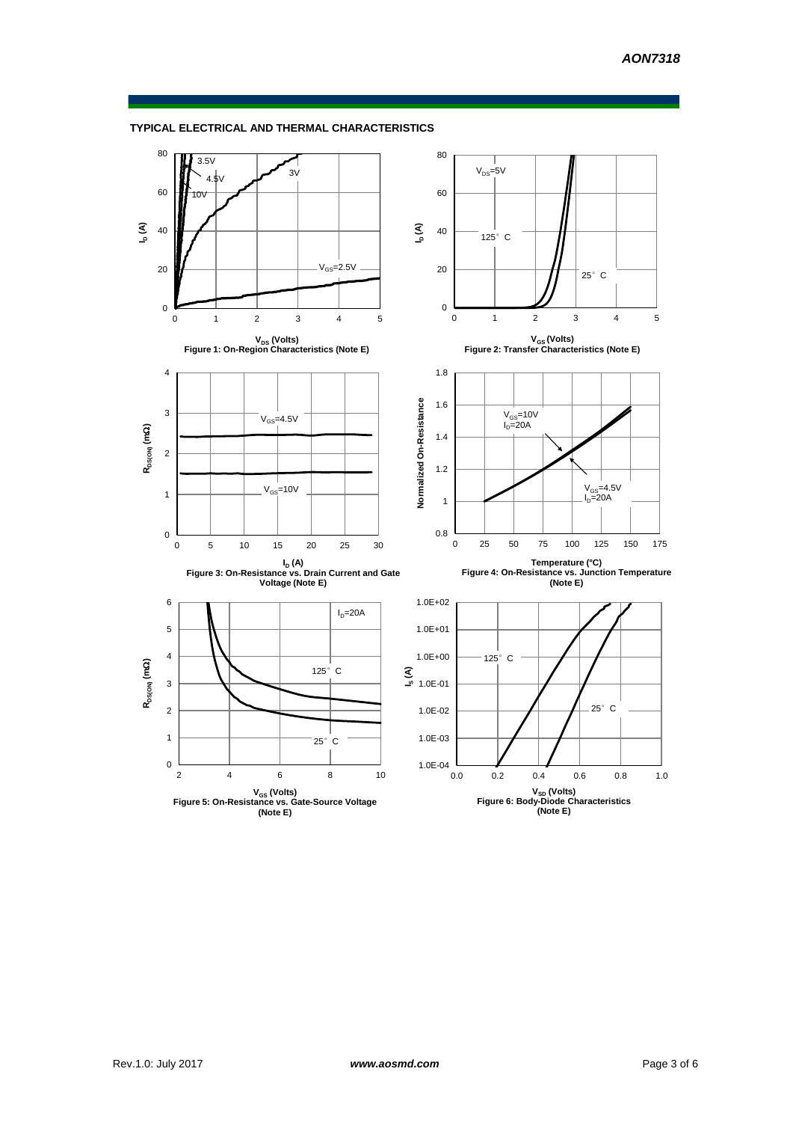

## **TYPICAL ELECTRICAL AND THERMAL CHARACTERISTICS**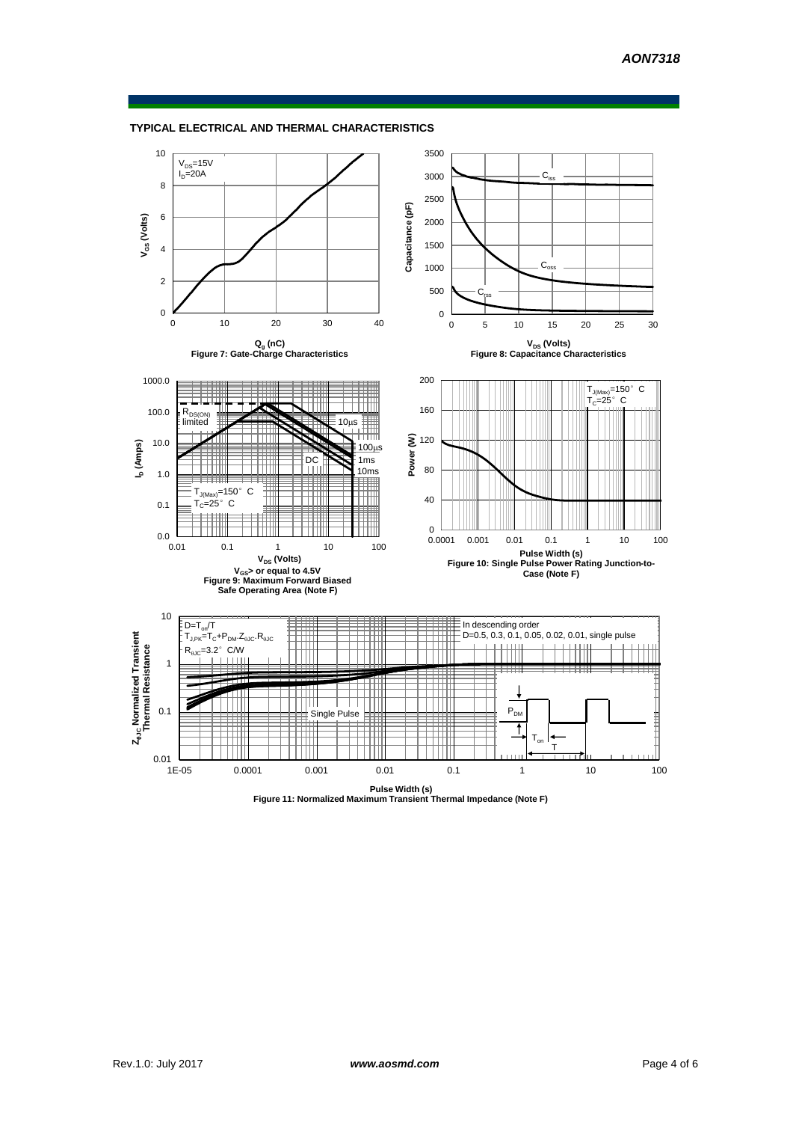



**Pulse Width (s) Figure 11: Normalized Maximum Transient Thermal Impedance (Note F)**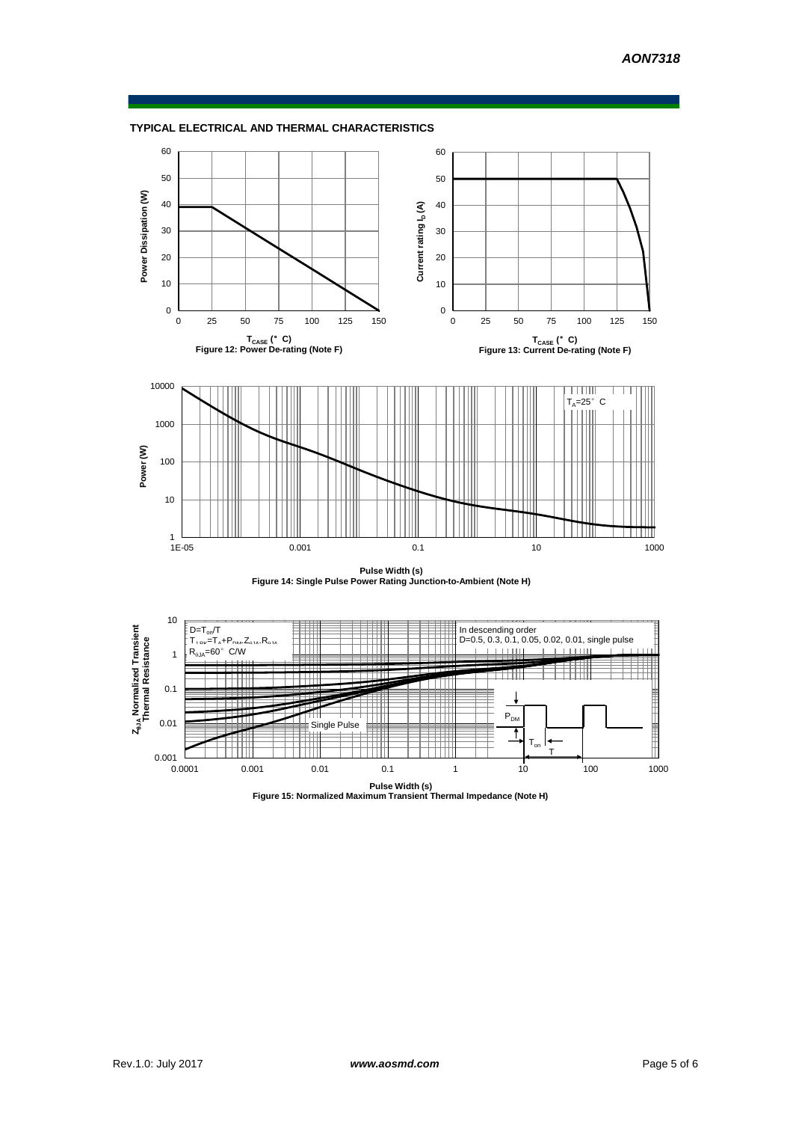



**Pulse Width (s) Figure 14: Single Pulse Power Rating Junction-to-Ambient (Note H)**



**Pulse Width (s) Figure 15: Normalized Maximum Transient Thermal Impedance (Note H)**